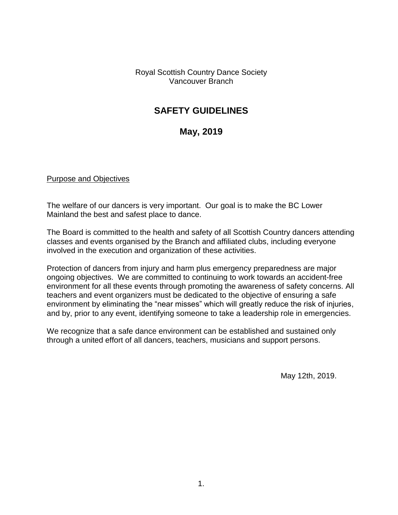Royal Scottish Country Dance Society Vancouver Branch

# **SAFETY GUIDELINES**

# **May, 2019**

#### Purpose and Objectives

The welfare of our dancers is very important. Our goal is to make the BC Lower Mainland the best and safest place to dance.

The Board is committed to the health and safety of all Scottish Country dancers attending classes and events organised by the Branch and affiliated clubs, including everyone involved in the execution and organization of these activities.

Protection of dancers from injury and harm plus emergency preparedness are major ongoing objectives. We are committed to continuing to work towards an accident-free environment for all these events through promoting the awareness of safety concerns. All teachers and event organizers must be dedicated to the objective of ensuring a safe environment by eliminating the "near misses" which will greatly reduce the risk of injuries, and by, prior to any event, identifying someone to take a leadership role in emergencies.

We recognize that a safe dance environment can be established and sustained only through a united effort of all dancers, teachers, musicians and support persons.

May 12th, 2019.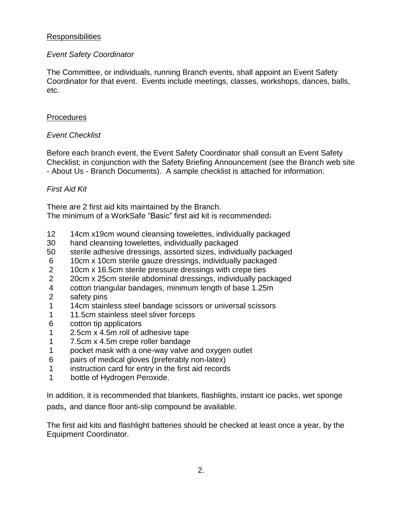### **Responsibilities**

### *Event Safety Coordinator*

The Committee, or individuals, running Branch events, shall appoint an Event Safety Coordinator for that event. Events include meetings, classes, workshops, dances, balls, etc.

### **Procedures**

# *Event Checklist*

Before each branch event, the Event Safety Coordinator shall consult an Event Safety Checklist; in conjunction with the Safety Briefing Announcement (see the Branch web site - About Us - Branch Documents). A sample checklist is attached for information.

# *First Aid Kit*

There are 2 first aid kits maintained by the Branch. The minimum of a WorkSafe "Basic" first aid kit is recommended:

- 12 14cm x19cm wound cleansing towelettes, individually packaged
- 30 hand cleansing towelettes, individually packaged
- 50 sterile adhesive dressings, assorted sizes, individually packaged
- 6 10cm x 10cm sterile gauze dressings, individually packaged
- 2 10cm x 16.5cm sterile pressure dressings with crepe ties
- 2 20cm x 25cm sterile abdominal dressings, individually packaged
- 4 cotton triangular bandages, minimum length of base 1.25m
- 2 safety pins
- 1 14cm stainless steel bandage scissors or universal scissors
- 1 11.5cm stainless steel sliver forceps
- 6 cotton tip applicators
- 1 2.5cm x 4.5m roll of adhesive tape
- 1 7.5cm x 4.5m crepe roller bandage
- 1 pocket mask with a one-way valve and oxygen outlet
- 6 pairs of medical gloves (preferably non-latex)
- 1 instruction card for entry in the first aid records
- 1 bottle of Hydrogen Peroxide.

In addition, it is recommended that blankets, flashlights, instant ice packs, wet sponge pads, and dance floor anti-slip compound be available.

The first aid kits and flashlight batteries should be checked at least once a year, by the Equipment Coordinator.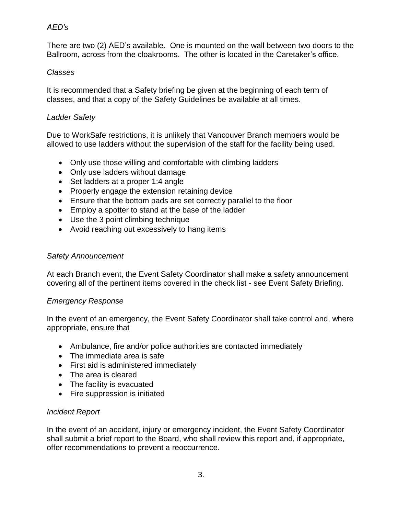# *AED's*

There are two (2) AED's available. One is mounted on the wall between two doors to the Ballroom, across from the cloakrooms. The other is located in the Caretaker's office.

### *Classes*

It is recommended that a Safety briefing be given at the beginning of each term of classes, and that a copy of the Safety Guidelines be available at all times.

# *Ladder Safety*

Due to WorkSafe restrictions, it is unlikely that Vancouver Branch members would be allowed to use ladders without the supervision of the staff for the facility being used.

- Only use those willing and comfortable with climbing ladders
- Only use ladders without damage
- Set ladders at a proper 1:4 angle
- Properly engage the extension retaining device
- Ensure that the bottom pads are set correctly parallel to the floor
- Employ a spotter to stand at the base of the ladder
- Use the 3 point climbing technique
- Avoid reaching out excessively to hang items

#### *Safety Announcement*

At each Branch event, the Event Safety Coordinator shall make a safety announcement covering all of the pertinent items covered in the check list - see Event Safety Briefing.

### *Emergency Response*

In the event of an emergency, the Event Safety Coordinator shall take control and, where appropriate, ensure that

- Ambulance, fire and/or police authorities are contacted immediately
- The immediate area is safe
- First aid is administered immediately
- The area is cleared
- The facility is evacuated
- Fire suppression is initiated

### *Incident Report*

In the event of an accident, injury or emergency incident, the Event Safety Coordinator shall submit a brief report to the Board, who shall review this report and, if appropriate, offer recommendations to prevent a reoccurrence.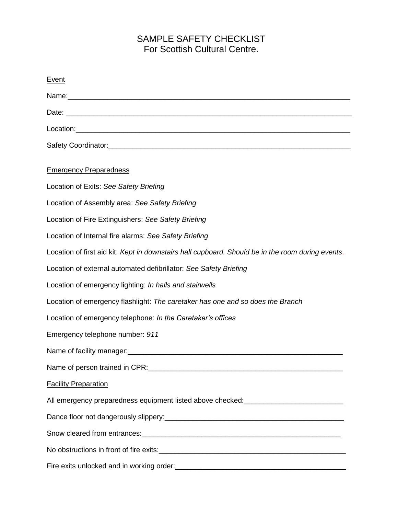# SAMPLE SAFETY CHECKLIST For Scottish Cultural Centre.

| Event                                                                                             |
|---------------------------------------------------------------------------------------------------|
|                                                                                                   |
|                                                                                                   |
|                                                                                                   |
|                                                                                                   |
| <b>Emergency Preparedness</b>                                                                     |
| Location of Exits: See Safety Briefing                                                            |
| Location of Assembly area: See Safety Briefing                                                    |
| Location of Fire Extinguishers: See Safety Briefing                                               |
| Location of Internal fire alarms: See Safety Briefing                                             |
| Location of first aid kit: Kept in downstairs hall cupboard. Should be in the room during events. |
| Location of external automated defibrillator: See Safety Briefing                                 |
| Location of emergency lighting: In halls and stairwells                                           |
| Location of emergency flashlight: The caretaker has one and so does the Branch                    |
| Location of emergency telephone: In the Caretaker's offices                                       |
| Emergency telephone number: 911                                                                   |
|                                                                                                   |
|                                                                                                   |
| <b>Facility Preparation</b>                                                                       |
| All emergency preparedness equipment listed above checked: _____________________                  |
|                                                                                                   |
|                                                                                                   |
|                                                                                                   |
| Fire exits unlocked and in working order:<br><u>Fire exits unlocked and in working order:</u>     |